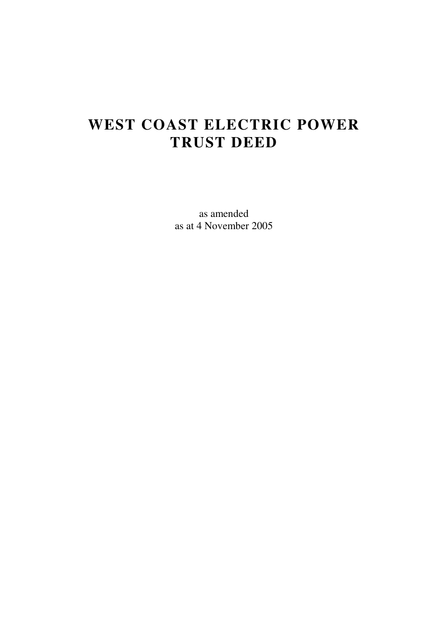# **WEST COAST ELECTRIC POWER TRUST DEED**

as amended as at 4 November 2005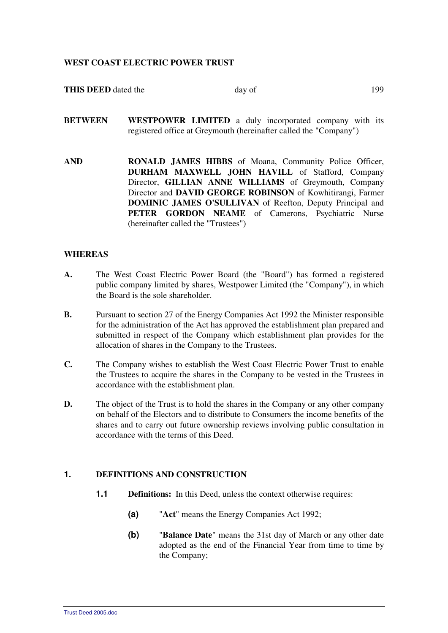#### **WEST COAST ELECTRIC POWER TRUST**

| <b>THIS DEED</b> dated the | dav of | 199 |
|----------------------------|--------|-----|
|                            |        |     |

**BETWEEN WESTPOWER LIMITED** a duly incorporated company with its registered office at Greymouth (hereinafter called the "Company")

**AND RONALD JAMES HIBBS** of Moana, Community Police Officer, **DURHAM MAXWELL JOHN HAVILL** of Stafford, Company Director, **GILLIAN ANNE WILLIAMS** of Greymouth, Company Director and **DAVID GEORGE ROBINSON** of Kowhitirangi, Farmer **DOMINIC JAMES O'SULLIVAN** of Reefton, Deputy Principal and PETER GORDON NEAME of Camerons, Psychiatric Nurse (hereinafter called the "Trustees")

#### **WHEREAS**

- **A.** The West Coast Electric Power Board (the "Board") has formed a registered public company limited by shares, Westpower Limited (the "Company"), in which the Board is the sole shareholder.
- **B.** Pursuant to section 27 of the Energy Companies Act 1992 the Minister responsible for the administration of the Act has approved the establishment plan prepared and submitted in respect of the Company which establishment plan provides for the allocation of shares in the Company to the Trustees.
- **C.** The Company wishes to establish the West Coast Electric Power Trust to enable the Trustees to acquire the shares in the Company to be vested in the Trustees in accordance with the establishment plan.
- **D.** The object of the Trust is to hold the shares in the Company or any other company on behalf of the Electors and to distribute to Consumers the income benefits of the shares and to carry out future ownership reviews involving public consultation in accordance with the terms of this Deed.

### **1. DEFINITIONS AND CONSTRUCTION**

- **1.1 Definitions:** In this Deed, unless the context otherwise requires:
	- **(a)** "**Act**" means the Energy Companies Act 1992;
	- **(b)** "**Balance Date**" means the 31st day of March or any other date adopted as the end of the Financial Year from time to time by the Company;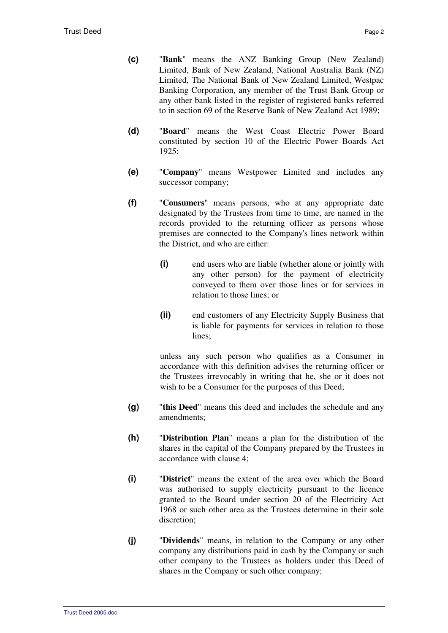- **(c)** "**Bank**" means the ANZ Banking Group (New Zealand) Limited, Bank of New Zealand, National Australia Bank (NZ) Limited, The National Bank of New Zealand Limited, Westpac Banking Corporation, any member of the Trust Bank Group or any other bank listed in the register of registered banks referred to in section 69 of the Reserve Bank of New Zealand Act 1989;
- **(d)** "**Board**" means the West Coast Electric Power Board constituted by section 10 of the Electric Power Boards Act 1925;
- **(e)** "**Company**" means Westpower Limited and includes any successor company;
- **(f)** "**Consumers**" means persons, who at any appropriate date designated by the Trustees from time to time, are named in the records provided to the returning officer as persons whose premises are connected to the Company's lines network within the District, and who are either:
	- **(i)** end users who are liable (whether alone or jointly with any other person) for the payment of electricity conveyed to them over those lines or for services in relation to those lines; or
	- **(ii)** end customers of any Electricity Supply Business that is liable for payments for services in relation to those lines;

unless any such person who qualifies as a Consumer in accordance with this definition advises the returning officer or the Trustees irrevocably in writing that he, she or it does not wish to be a Consumer for the purposes of this Deed;

- **(g)** "**this Deed**" means this deed and includes the schedule and any amendments;
- **(h)** "**Distribution Plan**" means a plan for the distribution of the shares in the capital of the Company prepared by the Trustees in accordance with clause 4;
- **(i)** "**District**" means the extent of the area over which the Board was authorised to supply electricity pursuant to the licence granted to the Board under section 20 of the Electricity Act 1968 or such other area as the Trustees determine in their sole discretion;
- **(j)** "**Dividends**" means, in relation to the Company or any other company any distributions paid in cash by the Company or such other company to the Trustees as holders under this Deed of shares in the Company or such other company;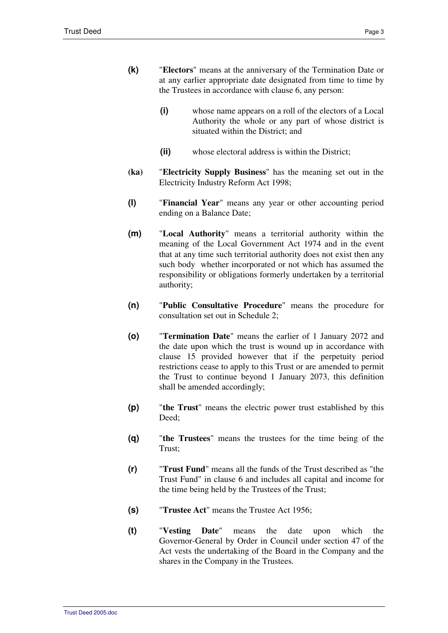- **(k)** "**Electors**" means at the anniversary of the Termination Date or at any earlier appropriate date designated from time to time by the Trustees in accordance with clause 6, any person:
	- **(i)** whose name appears on a roll of the electors of a Local Authority the whole or any part of whose district is situated within the District; and
	- **(ii)** whose electoral address is within the District;
- **(ka)** "**Electricity Supply Business**" has the meaning set out in the Electricity Industry Reform Act 1998;
- **(l)** "**Financial Year**" means any year or other accounting period ending on a Balance Date;
- **(m)** "**Local Authority**" means a territorial authority within the meaning of the Local Government Act 1974 and in the event that at any time such territorial authority does not exist then any such body whether incorporated or not which has assumed the responsibility or obligations formerly undertaken by a territorial authority;
- **(n)** "**Public Consultative Procedure**" means the procedure for consultation set out in Schedule 2;
- **(o)** "**Termination Date**" means the earlier of 1 January 2072 and the date upon which the trust is wound up in accordance with clause 15 provided however that if the perpetuity period restrictions cease to apply to this Trust or are amended to permit the Trust to continue beyond 1 January 2073, this definition shall be amended accordingly;
- **(p)** "**the Trust**" means the electric power trust established by this Deed<sup>.</sup>
- **(q)** "**the Trustees**" means the trustees for the time being of the Trust;
- **(r)** "**Trust Fund**" means all the funds of the Trust described as "the Trust Fund" in clause 6 and includes all capital and income for the time being held by the Trustees of the Trust;
- **(s)** "**Trustee Act**" means the Trustee Act 1956;
- **(t)** "**Vesting Date**" means the date upon which the Governor-General by Order in Council under section 47 of the Act vests the undertaking of the Board in the Company and the shares in the Company in the Trustees.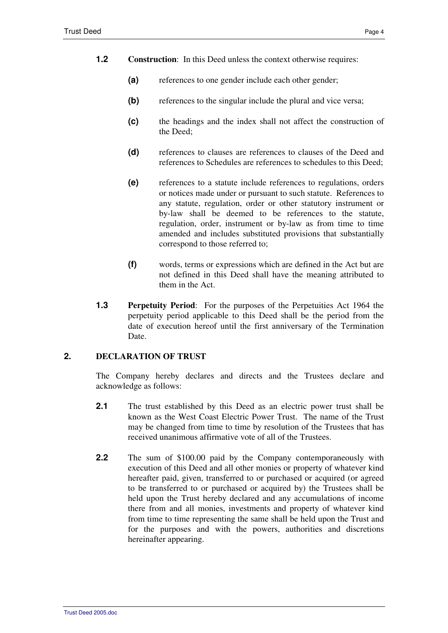- **1.2 Construction**: In this Deed unless the context otherwise requires:
	- **(a)** references to one gender include each other gender;
	- **(b)** references to the singular include the plural and vice versa;
	- **(c)** the headings and the index shall not affect the construction of the Deed;
	- **(d)** references to clauses are references to clauses of the Deed and references to Schedules are references to schedules to this Deed;
	- **(e)** references to a statute include references to regulations, orders or notices made under or pursuant to such statute. References to any statute, regulation, order or other statutory instrument or by-law shall be deemed to be references to the statute, regulation, order, instrument or by-law as from time to time amended and includes substituted provisions that substantially correspond to those referred to;
	- **(f)** words, terms or expressions which are defined in the Act but are not defined in this Deed shall have the meaning attributed to them in the Act.
- **1.3 Perpetuity Period**: For the purposes of the Perpetuities Act 1964 the perpetuity period applicable to this Deed shall be the period from the date of execution hereof until the first anniversary of the Termination Date.

## **2. DECLARATION OF TRUST**

The Company hereby declares and directs and the Trustees declare and acknowledge as follows:

- **2.1** The trust established by this Deed as an electric power trust shall be known as the West Coast Electric Power Trust. The name of the Trust may be changed from time to time by resolution of the Trustees that has received unanimous affirmative vote of all of the Trustees.
- **2.2** The sum of \$100.00 paid by the Company contemporaneously with execution of this Deed and all other monies or property of whatever kind hereafter paid, given, transferred to or purchased or acquired (or agreed to be transferred to or purchased or acquired by) the Trustees shall be held upon the Trust hereby declared and any accumulations of income there from and all monies, investments and property of whatever kind from time to time representing the same shall be held upon the Trust and for the purposes and with the powers, authorities and discretions hereinafter appearing.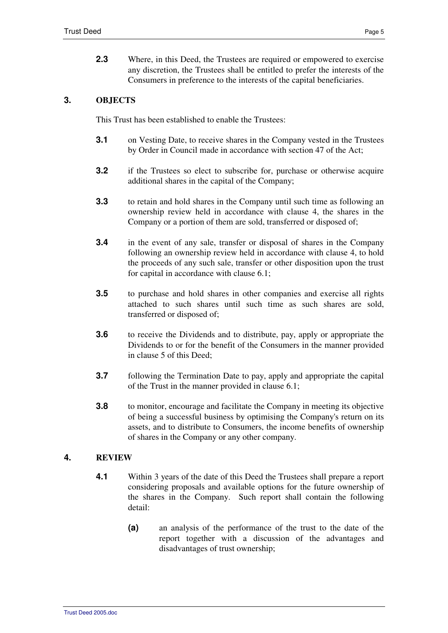**2.3** • Where, in this Deed, the Trustees are required or empowered to exercise any discretion, the Trustees shall be entitled to prefer the interests of the Consumers in preference to the interests of the capital beneficiaries.

# **3. OBJECTS**

This Trust has been established to enable the Trustees:

- **3.1** on Vesting Date, to receive shares in the Company vested in the Trustees by Order in Council made in accordance with section 47 of the Act;
- **3.2** if the Trustees so elect to subscribe for, purchase or otherwise acquire additional shares in the capital of the Company;
- **3.3** to retain and hold shares in the Company until such time as following an ownership review held in accordance with clause 4, the shares in the Company or a portion of them are sold, transferred or disposed of;
- **3.4** in the event of any sale, transfer or disposal of shares in the Company following an ownership review held in accordance with clause 4, to hold the proceeds of any such sale, transfer or other disposition upon the trust for capital in accordance with clause 6.1;
- **3.5** to purchase and hold shares in other companies and exercise all rights attached to such shares until such time as such shares are sold, transferred or disposed of;
- **3.6** to receive the Dividends and to distribute, pay, apply or appropriate the Dividends to or for the benefit of the Consumers in the manner provided in clause 5 of this Deed;
- **3.7** following the Termination Date to pay, apply and appropriate the capital of the Trust in the manner provided in clause 6.1;
- **3.8** to monitor, encourage and facilitate the Company in meeting its objective of being a successful business by optimising the Company's return on its assets, and to distribute to Consumers, the income benefits of ownership of shares in the Company or any other company.

# **4. REVIEW**

- **4.1** Within 3 years of the date of this Deed the Trustees shall prepare a report considering proposals and available options for the future ownership of the shares in the Company. Such report shall contain the following detail:
	- **(a)** an analysis of the performance of the trust to the date of the report together with a discussion of the advantages and disadvantages of trust ownership;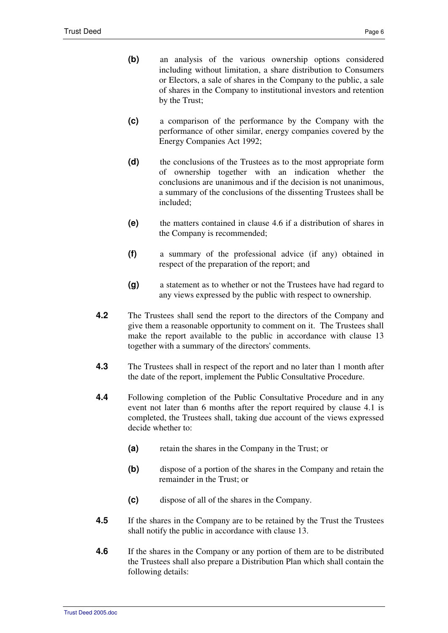- **(b)** an analysis of the various ownership options considered including without limitation, a share distribution to Consumers or Electors, a sale of shares in the Company to the public, a sale of shares in the Company to institutional investors and retention by the Trust;
- **(c)** a comparison of the performance by the Company with the performance of other similar, energy companies covered by the Energy Companies Act 1992;
- **(d)** the conclusions of the Trustees as to the most appropriate form of ownership together with an indication whether the conclusions are unanimous and if the decision is not unanimous, a summary of the conclusions of the dissenting Trustees shall be included;
- **(e)** the matters contained in clause 4.6 if a distribution of shares in the Company is recommended;
- **(f)** a summary of the professional advice (if any) obtained in respect of the preparation of the report; and
- **(g)** a statement as to whether or not the Trustees have had regard to any views expressed by the public with respect to ownership.
- **4.2** The Trustees shall send the report to the directors of the Company and give them a reasonable opportunity to comment on it. The Trustees shall make the report available to the public in accordance with clause 13 together with a summary of the directors' comments.
- **4.3** The Trustees shall in respect of the report and no later than 1 month after the date of the report, implement the Public Consultative Procedure.
- **4.4** Following completion of the Public Consultative Procedure and in any event not later than 6 months after the report required by clause 4.1 is completed, the Trustees shall, taking due account of the views expressed decide whether to:
	- **(a)** retain the shares in the Company in the Trust; or
	- **(b)** dispose of a portion of the shares in the Company and retain the remainder in the Trust; or
	- **(c)** dispose of all of the shares in the Company.
- **4.5** If the shares in the Company are to be retained by the Trust the Trustees shall notify the public in accordance with clause 13.
- **4.6** If the shares in the Company or any portion of them are to be distributed the Trustees shall also prepare a Distribution Plan which shall contain the following details: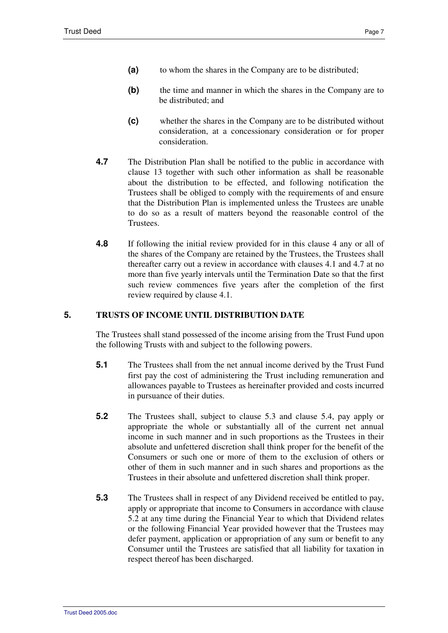- **(a)** to whom the shares in the Company are to be distributed;
- **(b)** the time and manner in which the shares in the Company are to be distributed; and
- **(c)** whether the shares in the Company are to be distributed without consideration, at a concessionary consideration or for proper consideration.
- **4.7** The Distribution Plan shall be notified to the public in accordance with clause 13 together with such other information as shall be reasonable about the distribution to be effected, and following notification the Trustees shall be obliged to comply with the requirements of and ensure that the Distribution Plan is implemented unless the Trustees are unable to do so as a result of matters beyond the reasonable control of the Trustees.
- **4.8** If following the initial review provided for in this clause 4 any or all of the shares of the Company are retained by the Trustees, the Trustees shall thereafter carry out a review in accordance with clauses 4.1 and 4.7 at no more than five yearly intervals until the Termination Date so that the first such review commences five years after the completion of the first review required by clause 4.1.

# **5. TRUSTS OF INCOME UNTIL DISTRIBUTION DATE**

The Trustees shall stand possessed of the income arising from the Trust Fund upon the following Trusts with and subject to the following powers.

- **5.1** The Trustees shall from the net annual income derived by the Trust Fund first pay the cost of administering the Trust including remuneration and allowances payable to Trustees as hereinafter provided and costs incurred in pursuance of their duties.
- **5.2** The Trustees shall, subject to clause 5.3 and clause 5.4, pay apply or appropriate the whole or substantially all of the current net annual income in such manner and in such proportions as the Trustees in their absolute and unfettered discretion shall think proper for the benefit of the Consumers or such one or more of them to the exclusion of others or other of them in such manner and in such shares and proportions as the Trustees in their absolute and unfettered discretion shall think proper.
- **5.3** The Trustees shall in respect of any Dividend received be entitled to pay, apply or appropriate that income to Consumers in accordance with clause 5.2 at any time during the Financial Year to which that Dividend relates or the following Financial Year provided however that the Trustees may defer payment, application or appropriation of any sum or benefit to any Consumer until the Trustees are satisfied that all liability for taxation in respect thereof has been discharged.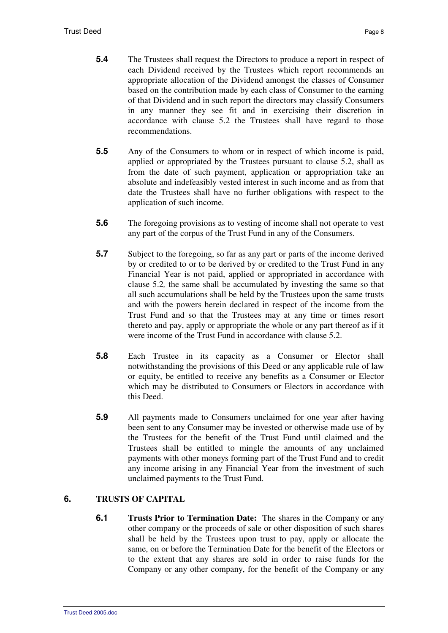- **5.4** The Trustees shall request the Directors to produce a report in respect of each Dividend received by the Trustees which report recommends an appropriate allocation of the Dividend amongst the classes of Consumer based on the contribution made by each class of Consumer to the earning of that Dividend and in such report the directors may classify Consumers in any manner they see fit and in exercising their discretion in accordance with clause 5.2 the Trustees shall have regard to those recommendations.
- **5.5** Any of the Consumers to whom or in respect of which income is paid, applied or appropriated by the Trustees pursuant to clause 5.2, shall as from the date of such payment, application or appropriation take an absolute and indefeasibly vested interest in such income and as from that date the Trustees shall have no further obligations with respect to the application of such income.
- **5.6** The foregoing provisions as to vesting of income shall not operate to vest any part of the corpus of the Trust Fund in any of the Consumers.
- **5.7** Subject to the foregoing, so far as any part or parts of the income derived by or credited to or to be derived by or credited to the Trust Fund in any Financial Year is not paid, applied or appropriated in accordance with clause 5.2*,* the same shall be accumulated by investing the same so that all such accumulations shall be held by the Trustees upon the same trusts and with the powers herein declared in respect of the income from the Trust Fund and so that the Trustees may at any time or times resort thereto and pay, apply or appropriate the whole or any part thereof as if it were income of the Trust Fund in accordance with clause 5.2.
- **5.8** Each Trustee in its capacity as a Consumer or Elector shall notwithstanding the provisions of this Deed or any applicable rule of law or equity, be entitled to receive any benefits as a Consumer or Elector which may be distributed to Consumers or Electors in accordance with this Deed.
- **5.9** All payments made to Consumers unclaimed for one year after having been sent to any Consumer may be invested or otherwise made use of by the Trustees for the benefit of the Trust Fund until claimed and the Trustees shall be entitled to mingle the amounts of any unclaimed payments with other moneys forming part of the Trust Fund and to credit any income arising in any Financial Year from the investment of such unclaimed payments to the Trust Fund.

# **6. TRUSTS OF CAPITAL**

**6.1 Trusts Prior to Termination Date:** The shares in the Company or any other company or the proceeds of sale or other disposition of such shares shall be held by the Trustees upon trust to pay, apply or allocate the same, on or before the Termination Date for the benefit of the Electors or to the extent that any shares are sold in order to raise funds for the Company or any other company, for the benefit of the Company or any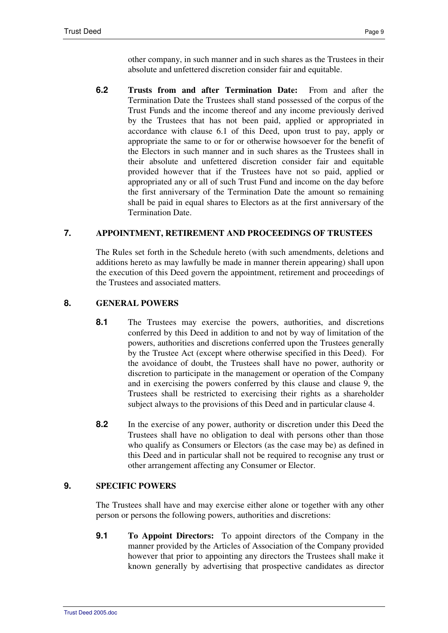other company, in such manner and in such shares as the Trustees in their absolute and unfettered discretion consider fair and equitable.

**6.2 Trusts from and after Termination Date:** From and after the Termination Date the Trustees shall stand possessed of the corpus of the Trust Funds and the income thereof and any income previously derived by the Trustees that has not been paid, applied or appropriated in accordance with clause 6.1 of this Deed, upon trust to pay, apply or appropriate the same to or for or otherwise howsoever for the benefit of the Electors in such manner and in such shares as the Trustees shall in their absolute and unfettered discretion consider fair and equitable provided however that if the Trustees have not so paid, applied or appropriated any or all of such Trust Fund and income on the day before the first anniversary of the Termination Date the amount so remaining shall be paid in equal shares to Electors as at the first anniversary of the Termination Date.

# **7. APPOINTMENT, RETIREMENT AND PROCEEDINGS OF TRUSTEES**

The Rules set forth in the Schedule hereto (with such amendments, deletions and additions hereto as may lawfully be made in manner therein appearing) shall upon the execution of this Deed govern the appointment, retirement and proceedings of the Trustees and associated matters.

# **8. GENERAL POWERS**

- 8.1 The Trustees may exercise the powers, authorities, and discretions conferred by this Deed in addition to and not by way of limitation of the powers, authorities and discretions conferred upon the Trustees generally by the Trustee Act (except where otherwise specified in this Deed). For the avoidance of doubt, the Trustees shall have no power, authority or discretion to participate in the management or operation of the Company and in exercising the powers conferred by this clause and clause 9, the Trustees shall be restricted to exercising their rights as a shareholder subject always to the provisions of this Deed and in particular clause 4.
- **8.2** In the exercise of any power, authority or discretion under this Deed the Trustees shall have no obligation to deal with persons other than those who qualify as Consumers or Electors (as the case may be) as defined in this Deed and in particular shall not be required to recognise any trust or other arrangement affecting any Consumer or Elector.

## **9. SPECIFIC POWERS**

The Trustees shall have and may exercise either alone or together with any other person or persons the following powers, authorities and discretions:

**9.1 To Appoint Directors:** To appoint directors of the Company in the manner provided by the Articles of Association of the Company provided however that prior to appointing any directors the Trustees shall make it known generally by advertising that prospective candidates as director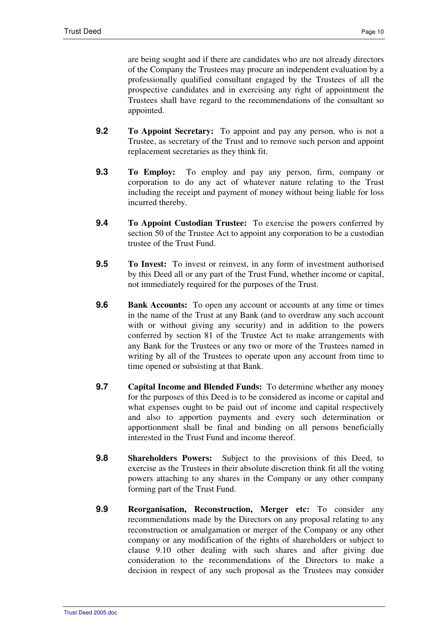are being sought and if there are candidates who are not already directors of the Company the Trustees may procure an independent evaluation by a professionally qualified consultant engaged by the Trustees of all the prospective candidates and in exercising any right of appointment the Trustees shall have regard to the recommendations of the consultant so appointed.

- **9.2 To Appoint Secretary:** To appoint and pay any person, who is not a Trustee, as secretary of the Trust and to remove such person and appoint replacement secretaries as they think fit.
- **9.3 To Employ:** To employ and pay any person, firm, company or corporation to do any act of whatever nature relating to the Trust including the receipt and payment of money without being liable for loss incurred thereby.
- **9.4 To Appoint Custodian Trustee:** To exercise the powers conferred by section 50 of the Trustee Act to appoint any corporation to be a custodian trustee of the Trust Fund.
- **9.5 To Invest:** To invest or reinvest, in any form of investment authorised by this Deed all or any part of the Trust Fund, whether income or capital, not immediately required for the purposes of the Trust.
- **9.6 Bank Accounts:** To open any account or accounts at any time or times in the name of the Trust at any Bank (and to overdraw any such account with or without giving any security) and in addition to the powers conferred by section 81 of the Trustee Act to make arrangements with any Bank for the Trustees or any two or more of the Trustees named in writing by all of the Trustees to operate upon any account from time to time opened or subsisting at that Bank.
- **9.7 Capital Income and Blended Funds:** To determine whether any money for the purposes of this Deed is to be considered as income or capital and what expenses ought to be paid out of income and capital respectively and also to apportion payments and every such determination or apportionment shall be final and binding on all persons beneficially interested in the Trust Fund and income thereof.
- **9.8 Shareholders Powers:** Subject to the provisions of this Deed, to exercise as the Trustees in their absolute discretion think fit all the voting powers attaching to any shares in the Company or any other company forming part of the Trust Fund.
- **9.9 Reorganisation, Reconstruction, Merger etc:** To consider any recommendations made by the Directors on any proposal relating to any reconstruction or amalgamation or merger of the Company or any other company or any modification of the rights of shareholders or subject to clause 9.10 other dealing with such shares and after giving due consideration to the recommendations of the Directors to make a decision in respect of any such proposal as the Trustees may consider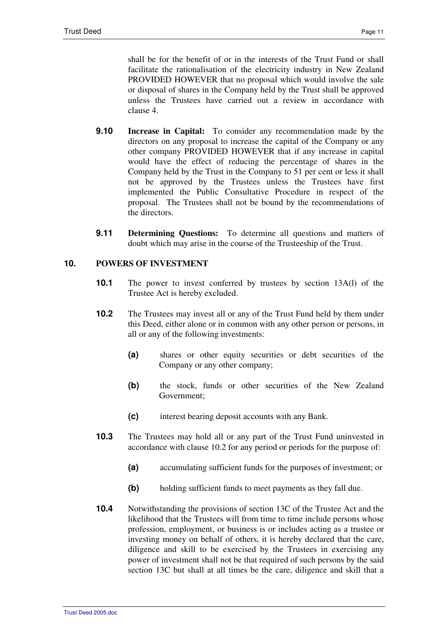shall be for the benefit of or in the interests of the Trust Fund or shall facilitate the rationalisation of the electricity industry in New Zealand PROVIDED HOWEVER that no proposal which would involve the sale or disposal of shares in the Company held by the Trust shall be approved unless the Trustees have carried out a review in accordance with clause 4.

- **9.10 Increase in Capital:** To consider any recommendation made by the directors on any proposal to increase the capital of the Company or any other company PROVIDED HOWEVER that if any increase in capital would have the effect of reducing the percentage of shares in the Company held by the Trust in the Company to 51 per cent or less it shall not be approved by the Trustees unless the Trustees have first implemented the Public Consultative Procedure in respect of the proposal. The Trustees shall not be bound by the recommendations of the directors.
- **9.11 Determining Questions:** To determine all questions and matters of doubt which may arise in the course of the Trusteeship of the Trust.

# **10. POWERS OF INVESTMENT**

- **10.1** The power to invest conferred by trustees by section 13A(l) of the Trustee Act is hereby excluded.
- **10.2** The Trustees may invest all or any of the Trust Fund held by them under this Deed, either alone or in common with any other person or persons, in all or any of the following investments:
	- **(a)** shares or other equity securities or debt securities of the Company or any other company;
	- **(b)** the stock, funds or other securities of the New Zealand Government;
	- **(c)** interest bearing deposit accounts with any Bank.
- **10.3** The Trustees may hold all or any part of the Trust Fund uninvested in accordance with clause 10.2 for any period or periods for the purpose of:
	- **(a)** accumulating sufficient funds for the purposes of investment; or
	- **(b)** holding sufficient funds to meet payments as they fall due.
- **10.4** Notwithstanding the provisions of section 13C of the Trustee Act and the likelihood that the Trustees will from time to time include persons whose profession, employment, or business is or includes acting as a trustee or investing money on behalf of others, it is hereby declared that the care, diligence and skill to be exercised by the Trustees in exercising any power of investment shall not be that required of such persons by the said section 13C but shall at all times be the care, diligence and skill that a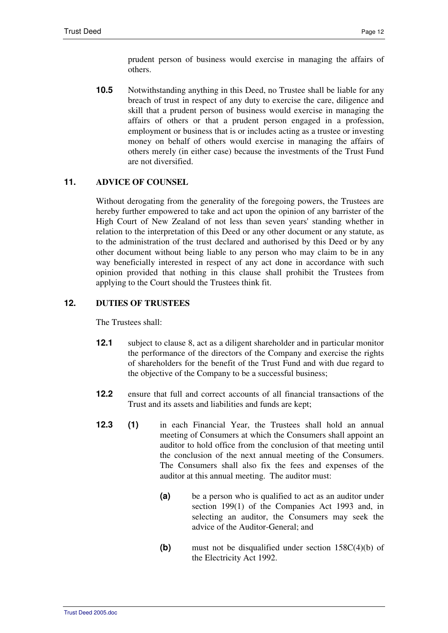prudent person of business would exercise in managing the affairs of others.

**10.5** Notwithstanding anything in this Deed, no Trustee shall be liable for any breach of trust in respect of any duty to exercise the care, diligence and skill that a prudent person of business would exercise in managing the affairs of others or that a prudent person engaged in a profession, employment or business that is or includes acting as a trustee or investing money on behalf of others would exercise in managing the affairs of others merely (in either case) because the investments of the Trust Fund are not diversified.

# **11. ADVICE OF COUNSEL**

Without derogating from the generality of the foregoing powers, the Trustees are hereby further empowered to take and act upon the opinion of any barrister of the High Court of New Zealand of not less than seven years' standing whether in relation to the interpretation of this Deed or any other document or any statute, as to the administration of the trust declared and authorised by this Deed or by any other document without being liable to any person who may claim to be in any way beneficially interested in respect of any act done in accordance with such opinion provided that nothing in this clause shall prohibit the Trustees from applying to the Court should the Trustees think fit.

# **12. DUTIES OF TRUSTEES**

The Trustees shall:

- **12.1** subject to clause 8, act as a diligent shareholder and in particular monitor the performance of the directors of the Company and exercise the rights of shareholders for the benefit of the Trust Fund and with due regard to the objective of the Company to be a successful business;
- **12.2** ensure that full and correct accounts of all financial transactions of the Trust and its assets and liabilities and funds are kept;
- **12.3 (1)** in each Financial Year, the Trustees shall hold an annual meeting of Consumers at which the Consumers shall appoint an auditor to hold office from the conclusion of that meeting until the conclusion of the next annual meeting of the Consumers. The Consumers shall also fix the fees and expenses of the auditor at this annual meeting. The auditor must:
	- **(a)** be a person who is qualified to act as an auditor under section 199(1) of the Companies Act 1993 and, in selecting an auditor, the Consumers may seek the advice of the Auditor-General; and
	- **(b)** must not be disqualified under section 158C(4)(b) of the Electricity Act 1992.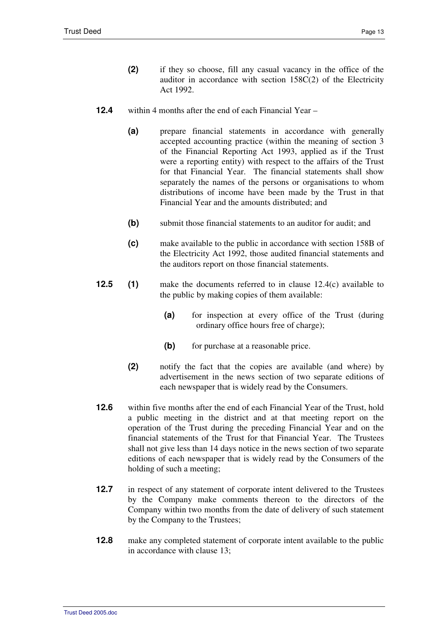- **(2)** if they so choose, fill any casual vacancy in the office of the auditor in accordance with section 158C(2) of the Electricity Act 1992.
- **12.4** within 4 months after the end of each Financial Year
	- **(a)** prepare financial statements in accordance with generally accepted accounting practice (within the meaning of section 3 of the Financial Reporting Act 1993, applied as if the Trust were a reporting entity) with respect to the affairs of the Trust for that Financial Year. The financial statements shall show separately the names of the persons or organisations to whom distributions of income have been made by the Trust in that Financial Year and the amounts distributed; and
	- **(b)** submit those financial statements to an auditor for audit; and
	- **(c)** make available to the public in accordance with section 158B of the Electricity Act 1992, those audited financial statements and the auditors report on those financial statements.
- **12.5** (1) make the documents referred to in clause 12.4(c) available to the public by making copies of them available:
	- **(a)** for inspection at every office of the Trust (during ordinary office hours free of charge);
	- **(b)** for purchase at a reasonable price.
	- **(2)** notify the fact that the copies are available (and where) by advertisement in the news section of two separate editions of each newspaper that is widely read by the Consumers.
- **12.6** within five months after the end of each Financial Year of the Trust, hold a public meeting in the district and at that meeting report on the operation of the Trust during the preceding Financial Year and on the financial statements of the Trust for that Financial Year. The Trustees shall not give less than 14 days notice in the news section of two separate editions of each newspaper that is widely read by the Consumers of the holding of such a meeting;
- **12.7** in respect of any statement of corporate intent delivered to the Trustees by the Company make comments thereon to the directors of the Company within two months from the date of delivery of such statement by the Company to the Trustees;
- **12.8** make any completed statement of corporate intent available to the public in accordance with clause 13;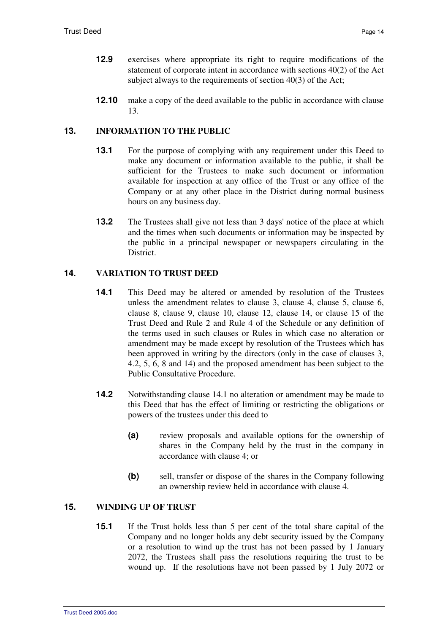- **12.9** exercises where appropriate its right to require modifications of the statement of corporate intent in accordance with sections 40(2) of the Act subject always to the requirements of section 40(3) of the Act;
- **12.10** make a copy of the deed available to the public in accordance with clause 13.

# **13. INFORMATION TO THE PUBLIC**

- **13.1** For the purpose of complying with any requirement under this Deed to make any document or information available to the public, it shall be sufficient for the Trustees to make such document or information available for inspection at any office of the Trust or any office of the Company or at any other place in the District during normal business hours on any business day.
- **13.2** The Trustees shall give not less than 3 days' notice of the place at which and the times when such documents or information may be inspected by the public in a principal newspaper or newspapers circulating in the District.

# **14. VARIATION TO TRUST DEED**

- **14.1** This Deed may be altered or amended by resolution of the Trustees unless the amendment relates to clause 3, clause 4, clause 5, clause 6, clause 8, clause 9, clause 10, clause 12, clause 14, or clause 15 of the Trust Deed and Rule 2 and Rule 4 of the Schedule or any definition of the terms used in such clauses or Rules in which case no alteration or amendment may be made except by resolution of the Trustees which has been approved in writing by the directors (only in the case of clauses 3, 4.2, 5, 6, 8 and 14) and the proposed amendment has been subject to the Public Consultative Procedure.
- **14.2** Notwithstanding clause 14.1 no alteration or amendment may be made to this Deed that has the effect of limiting or restricting the obligations or powers of the trustees under this deed to
	- **(a)** review proposals and available options for the ownership of shares in the Company held by the trust in the company in accordance with clause 4; or
	- **(b)** sell, transfer or dispose of the shares in the Company following an ownership review held in accordance with clause 4.

# **15. WINDING UP OF TRUST**

**15.1** If the Trust holds less than 5 per cent of the total share capital of the Company and no longer holds any debt security issued by the Company or a resolution to wind up the trust has not been passed by 1 January 2072, the Trustees shall pass the resolutions requiring the trust to be wound up. If the resolutions have not been passed by 1 July 2072 or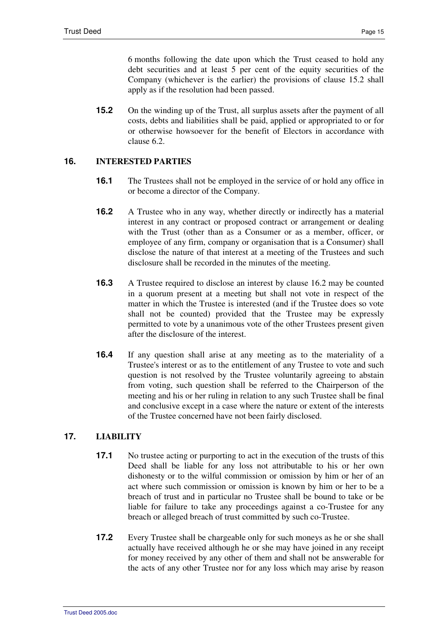6 months following the date upon which the Trust ceased to hold any debt securities and at least 5 per cent of the equity securities of the Company (whichever is the earlier) the provisions of clause 15.2 shall apply as if the resolution had been passed.

**15.2** On the winding up of the Trust, all surplus assets after the payment of all costs, debts and liabilities shall be paid, applied or appropriated to or for or otherwise howsoever for the benefit of Electors in accordance with clause 6.2.

# **16. INTERESTED PARTIES**

- **16.1** The Trustees shall not be employed in the service of or hold any office in or become a director of the Company.
- **16.2** A Trustee who in any way, whether directly or indirectly has a material interest in any contract or proposed contract or arrangement or dealing with the Trust (other than as a Consumer or as a member, officer, or employee of any firm, company or organisation that is a Consumer) shall disclose the nature of that interest at a meeting of the Trustees and such disclosure shall be recorded in the minutes of the meeting.
- **16.3** A Trustee required to disclose an interest by clause 16.2 may be counted in a quorum present at a meeting but shall not vote in respect of the matter in which the Trustee is interested (and if the Trustee does so vote shall not be counted) provided that the Trustee may be expressly permitted to vote by a unanimous vote of the other Trustees present given after the disclosure of the interest.
- **16.4** If any question shall arise at any meeting as to the materiality of a Trustee's interest or as to the entitlement of any Trustee to vote and such question is not resolved by the Trustee voluntarily agreeing to abstain from voting, such question shall be referred to the Chairperson of the meeting and his or her ruling in relation to any such Trustee shall be final and conclusive except in a case where the nature or extent of the interests of the Trustee concerned have not been fairly disclosed.

# **17. LIABILITY**

- **17.1** No trustee acting or purporting to act in the execution of the trusts of this Deed shall be liable for any loss not attributable to his or her own dishonesty or to the wilful commission or omission by him or her of an act where such commission or omission is known by him or her to be a breach of trust and in particular no Trustee shall be bound to take or be liable for failure to take any proceedings against a co-Trustee for any breach or alleged breach of trust committed by such co-Trustee.
- **17.2** Every Trustee shall be chargeable only for such moneys as he or she shall actually have received although he or she may have joined in any receipt for money received by any other of them and shall not be answerable for the acts of any other Trustee nor for any loss which may arise by reason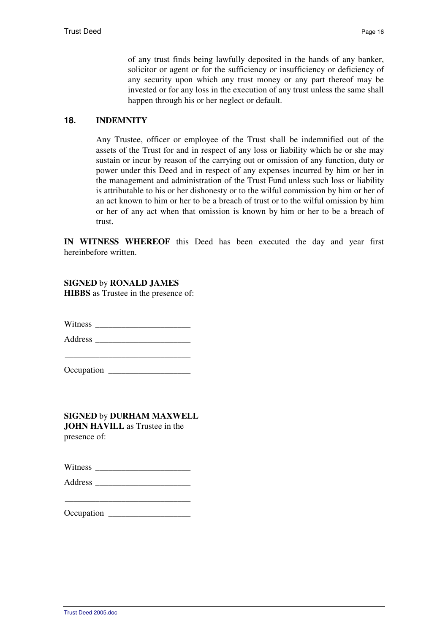of any trust finds being lawfully deposited in the hands of any banker, solicitor or agent or for the sufficiency or insufficiency or deficiency of any security upon which any trust money or any part thereof may be invested or for any loss in the execution of any trust unless the same shall happen through his or her neglect or default.

# **18. INDEMNITY**

Any Trustee, officer or employee of the Trust shall be indemnified out of the assets of the Trust for and in respect of any loss or liability which he or she may sustain or incur by reason of the carrying out or omission of any function, duty or power under this Deed and in respect of any expenses incurred by him or her in the management and administration of the Trust Fund unless such loss or liability is attributable to his or her dishonesty or to the wilful commission by him or her of an act known to him or her to be a breach of trust or to the wilful omission by him or her of any act when that omission is known by him or her to be a breach of trust.

**IN WITNESS WHEREOF** this Deed has been executed the day and year first hereinbefore written.

**SIGNED** by **RONALD JAMES HIBBS** as Trustee in the presence of:

Witness \_\_\_\_\_\_\_\_\_\_\_\_\_\_\_\_\_\_\_\_\_\_

Address \_\_\_\_\_\_\_\_\_\_\_\_\_\_\_\_\_\_\_\_\_\_

\_\_\_\_\_\_\_\_\_\_\_\_\_\_\_\_\_\_\_\_\_\_\_\_\_\_\_\_\_ Occupation \_\_\_\_\_\_\_\_\_\_\_\_\_\_\_\_\_\_\_

**SIGNED** by **DURHAM MAXWELL JOHN HAVILL** as Trustee in the presence of:

| Occupation |  |
|------------|--|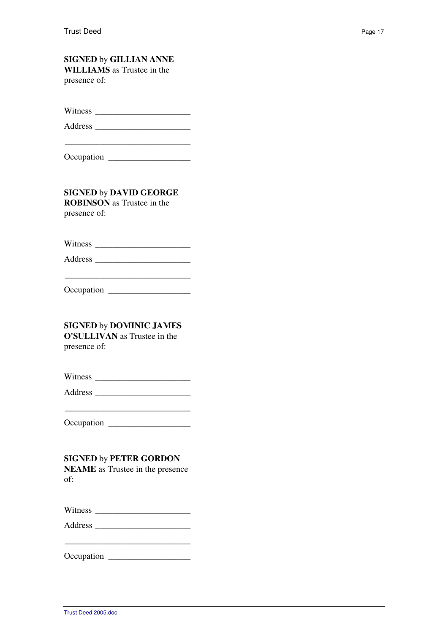# **SIGNED** by **GILLIAN ANNE WILLIAMS** as Trustee in the

presence of:

Witness **with the set of the set of the set of the set of the set of the set of the set of the set of the set of the set of the set of the set of the set of the set of the set of the set of the set of the set of the set of** 

Address \_\_\_\_\_\_\_\_\_\_\_\_\_\_\_\_\_\_\_\_\_\_

\_\_\_\_\_\_\_\_\_\_\_\_\_\_\_\_\_\_\_\_\_\_\_\_\_\_\_\_\_

Occupation \_\_\_\_\_\_\_\_\_\_\_\_\_\_\_\_\_\_\_

**SIGNED** by **DAVID GEORGE ROBINSON** as Trustee in the presence of:

Witness \_\_\_\_\_\_\_\_\_\_\_\_\_\_\_\_\_\_\_\_\_\_

Address \_\_\_\_\_\_\_\_\_\_\_\_\_\_\_\_\_\_\_\_\_\_ \_\_\_\_\_\_\_\_\_\_\_\_\_\_\_\_\_\_\_\_\_\_\_\_\_\_\_\_\_

Occupation \_\_\_\_\_\_\_\_\_\_\_\_\_\_\_\_\_\_\_

# **SIGNED** by **DOMINIC JAMES**

**O'SULLIVAN** as Trustee in the presence of:

Witness \_\_\_\_\_\_\_\_\_\_\_\_\_\_\_\_\_\_\_\_\_\_

Address \_\_\_\_\_\_\_\_\_\_\_\_\_\_\_\_\_\_\_\_\_\_

Occupation \_\_\_\_\_\_\_\_\_\_\_\_\_\_\_\_\_\_\_

# **SIGNED** by **PETER GORDON**

**NEAME** as Trustee in the presence of:

| Witness |  |
|---------|--|
|---------|--|

Address \_\_\_\_\_\_\_\_\_\_\_\_\_\_\_\_\_\_\_\_\_\_

\_\_\_\_\_\_\_\_\_\_\_\_\_\_\_\_\_\_\_\_\_\_\_\_\_\_\_\_\_

| Occupation |  |
|------------|--|
|------------|--|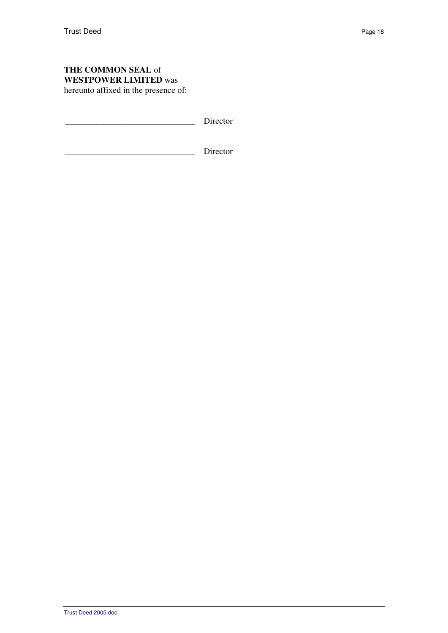# **THE COMMON SEAL** of **WESTPOWER LIMITED** was hereunto affixed in the presence of:

Director

Director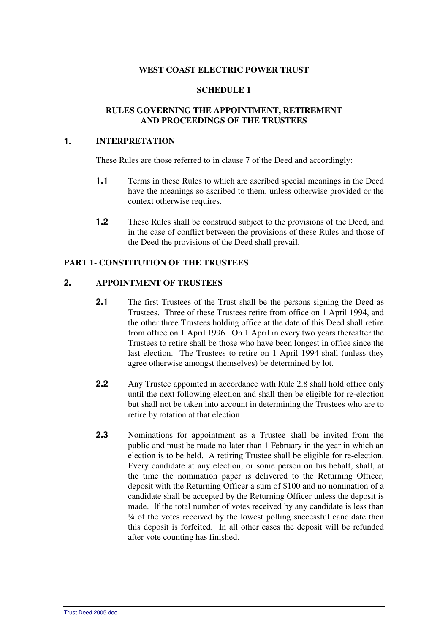#### **WEST COAST ELECTRIC POWER TRUST**

## **SCHEDULE 1**

## **RULES GOVERNING THE APPOINTMENT, RETIREMENT AND PROCEEDINGS OF THE TRUSTEES**

#### **1. INTERPRETATION**

These Rules are those referred to in clause 7 of the Deed and accordingly:

- **1.1 Terms in these Rules to which are ascribed special meanings in the Deed** have the meanings so ascribed to them, unless otherwise provided or the context otherwise requires.
- **1.2** These Rules shall be construed subject to the provisions of the Deed, and in the case of conflict between the provisions of these Rules and those of the Deed the provisions of the Deed shall prevail.

## **PART 1- CONSTITUTION OF THE TRUSTEES**

### **2. APPOINTMENT OF TRUSTEES**

- **2.1** The first Trustees of the Trust shall be the persons signing the Deed as Trustees. Three of these Trustees retire from office on 1 April 1994, and the other three Trustees holding office at the date of this Deed shall retire from office on 1 April 1996. On 1 April in every two years thereafter the Trustees to retire shall be those who have been longest in office since the last election. The Trustees to retire on 1 April 1994 shall (unless they agree otherwise amongst themselves) be determined by lot.
- **2.2** Any Trustee appointed in accordance with Rule 2.8 shall hold office only until the next following election and shall then be eligible for re-election but shall not be taken into account in determining the Trustees who are to retire by rotation at that election.
- **2.3** Nominations for appointment as a Trustee shall be invited from the public and must be made no later than 1 February in the year in which an election is to be held. A retiring Trustee shall be eligible for re-election. Every candidate at any election, or some person on his behalf, shall, at the time the nomination paper is delivered to the Returning Officer, deposit with the Returning Officer a sum of \$100 and no nomination of a candidate shall be accepted by the Returning Officer unless the deposit is made. If the total number of votes received by any candidate is less than ¼ of the votes received by the lowest polling successful candidate then this deposit is forfeited. In all other cases the deposit will be refunded after vote counting has finished.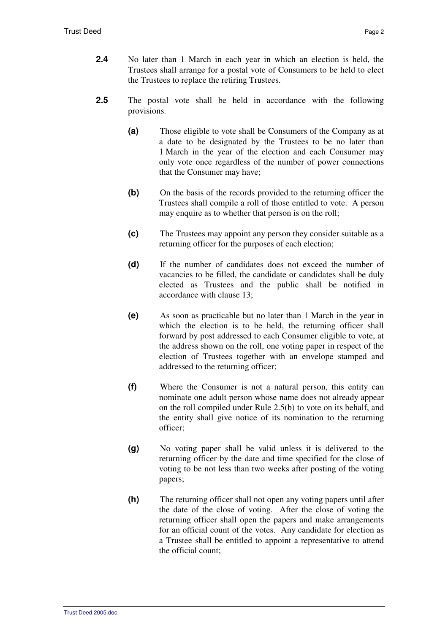- **2.4** No later than 1 March in each year in which an election is held, the Trustees shall arrange for a postal vote of Consumers to be held to elect the Trustees to replace the retiring Trustees.
- **2.5** The postal vote shall be held in accordance with the following provisions.
	- **(a)** Those eligible to vote shall be Consumers of the Company as at a date to be designated by the Trustees to be no later than 1 March in the year of the election and each Consumer may only vote once regardless of the number of power connections that the Consumer may have;
	- **(b)** On the basis of the records provided to the returning officer the Trustees shall compile a roll of those entitled to vote. A person may enquire as to whether that person is on the roll;
	- **(c)** The Trustees may appoint any person they consider suitable as a returning officer for the purposes of each election;
	- **(d)** If the number of candidates does not exceed the number of vacancies to be filled, the candidate or candidates shall be duly elected as Trustees and the public shall be notified in accordance with clause 13;
	- **(e)** As soon as practicable but no later than 1 March in the year in which the election is to be held, the returning officer shall forward by post addressed to each Consumer eligible to vote, at the address shown on the roll, one voting paper in respect of the election of Trustees together with an envelope stamped and addressed to the returning officer;
	- **(f)** Where the Consumer is not a natural person, this entity can nominate one adult person whose name does not already appear on the roll compiled under Rule 2.5(b) to vote on its behalf, and the entity shall give notice of its nomination to the returning officer;
	- **(g)** No voting paper shall be valid unless it is delivered to the returning officer by the date and time specified for the close of voting to be not less than two weeks after posting of the voting papers;
	- **(h)** The returning officer shall not open any voting papers until after the date of the close of voting. After the close of voting the returning officer shall open the papers and make arrangements for an official count of the votes. Any candidate for election as a Trustee shall be entitled to appoint a representative to attend the official count;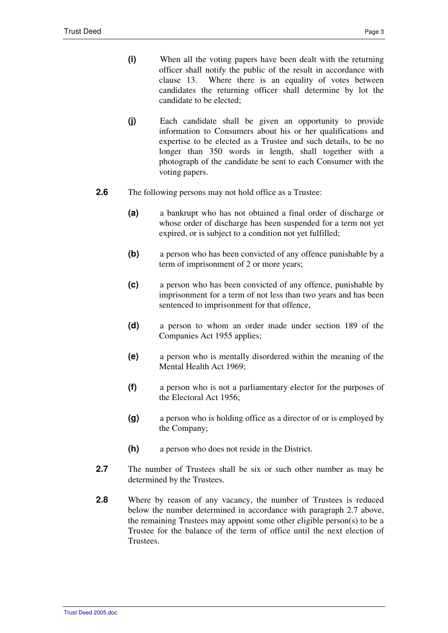- **(i)** When all the voting papers have been dealt with the returning officer shall notify the public of the result in accordance with clause 13. Where there is an equality of votes between candidates the returning officer shall determine by lot the candidate to be elected;
- **(j)** Each candidate shall be given an opportunity to provide information to Consumers about his or her qualifications and expertise to be elected as a Trustee and such details, to be no longer than 350 words in length, shall together with a photograph of the candidate be sent to each Consumer with the voting papers.
- **2.6** The following persons may not hold office as a Trustee:
	- **(a)** a bankrupt who has not obtained a final order of discharge or whose order of discharge has been suspended for a term not yet expired, or is subject to a condition not yet fulfilled;
	- **(b)** a person who has been convicted of any offence punishable by a term of imprisonment of 2 or more years;
	- **(c)** a person who has been convicted of any offence, punishable by imprisonment for a term of not less than two years and has been sentenced to imprisonment for that offence,
	- **(d)** a person to whom an order made under section 189 of the Companies Act 1955 applies;
	- **(e)** a person who is mentally disordered within the meaning of the Mental Health Act 1969;
	- **(f)** a person who is not a parliamentary elector for the purposes of the Electoral Act 1956;
	- **(g)** a person who is holding office as a director of or is employed by the Company;
	- **(h)** a person who does not reside in the District.
- **2.7** The number of Trustees shall be six or such other number as may be determined by the Trustees.
- **2.8** Where by reason of any vacancy, the number of Trustees is reduced below the number determined in accordance with paragraph 2.7 above, the remaining Trustees may appoint some other eligible person(s) to be a Trustee for the balance of the term of office until the next election of **Trustees**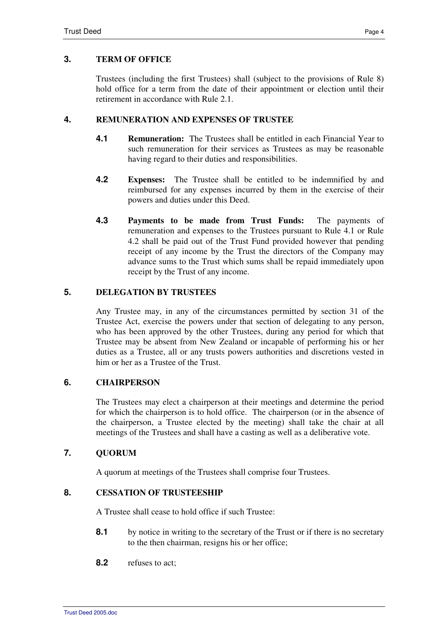# **3. TERM OF OFFICE**

Trustees (including the first Trustees) shall (subject to the provisions of Rule 8) hold office for a term from the date of their appointment or election until their retirement in accordance with Rule 2.1.

## **4. REMUNERATION AND EXPENSES OF TRUSTEE**

- **4.1 Remuneration:** The Trustees shall be entitled in each Financial Year to such remuneration for their services as Trustees as may be reasonable having regard to their duties and responsibilities.
- **4.2 Expenses:** The Trustee shall be entitled to be indemnified by and reimbursed for any expenses incurred by them in the exercise of their powers and duties under this Deed.
- **4.3 Payments to be made from Trust Funds:** The payments of remuneration and expenses to the Trustees pursuant to Rule 4.1 or Rule 4.2 shall be paid out of the Trust Fund provided however that pending receipt of any income by the Trust the directors of the Company may advance sums to the Trust which sums shall be repaid immediately upon receipt by the Trust of any income.

### **5. DELEGATION BY TRUSTEES**

Any Trustee may, in any of the circumstances permitted by section 31 of the Trustee Act, exercise the powers under that section of delegating to any person, who has been approved by the other Trustees, during any period for which that Trustee may be absent from New Zealand or incapable of performing his or her duties as a Trustee, all or any trusts powers authorities and discretions vested in him or her as a Trustee of the Trust.

# **6. CHAIRPERSON**

The Trustees may elect a chairperson at their meetings and determine the period for which the chairperson is to hold office. The chairperson (or in the absence of the chairperson, a Trustee elected by the meeting) shall take the chair at all meetings of the Trustees and shall have a casting as well as a deliberative vote.

## **7. QUORUM**

A quorum at meetings of the Trustees shall comprise four Trustees.

#### **8. CESSATION OF TRUSTEESHIP**

A Trustee shall cease to hold office if such Trustee:

- 8.1 by notice in writing to the secretary of the Trust or if there is no secretary to the then chairman, resigns his or her office;
- **8.2** refuses to act;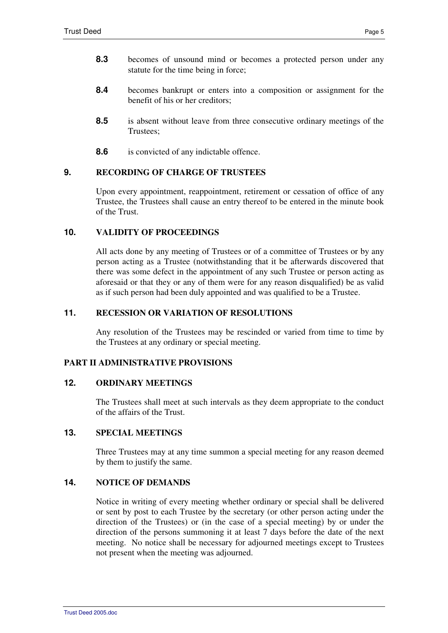- **8.3** becomes of unsound mind or becomes a protected person under any statute for the time being in force;
- **8.4** becomes bankrupt or enters into a composition or assignment for the benefit of his or her creditors;
- **8.5** is absent without leave from three consecutive ordinary meetings of the Trustees;
- **8.6** is convicted of any indictable offence.

# **9. RECORDING OF CHARGE OF TRUSTEES**

Upon every appointment, reappointment, retirement or cessation of office of any Trustee, the Trustees shall cause an entry thereof to be entered in the minute book of the Trust.

# **10. VALIDITY OF PROCEEDINGS**

All acts done by any meeting of Trustees or of a committee of Trustees or by any person acting as a Trustee (notwithstanding that it be afterwards discovered that there was some defect in the appointment of any such Trustee or person acting as aforesaid or that they or any of them were for any reason disqualified) be as valid as if such person had been duly appointed and was qualified to be a Trustee.

## **11. RECESSION OR VARIATION OF RESOLUTIONS**

Any resolution of the Trustees may be rescinded or varied from time to time by the Trustees at any ordinary or special meeting.

## **PART II ADMINISTRATIVE PROVISIONS**

# **12. ORDINARY MEETINGS**

The Trustees shall meet at such intervals as they deem appropriate to the conduct of the affairs of the Trust.

# **13. SPECIAL MEETINGS**

Three Trustees may at any time summon a special meeting for any reason deemed by them to justify the same.

# **14. NOTICE OF DEMANDS**

Notice in writing of every meeting whether ordinary or special shall be delivered or sent by post to each Trustee by the secretary (or other person acting under the direction of the Trustees) or (in the case of a special meeting) by or under the direction of the persons summoning it at least 7 days before the date of the next meeting. No notice shall be necessary for adjourned meetings except to Trustees not present when the meeting was adjourned.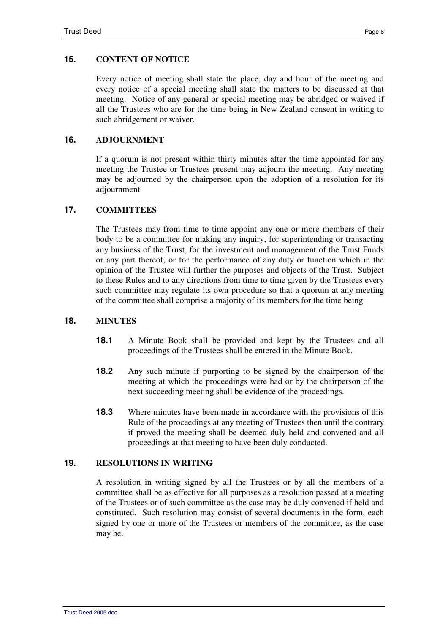#### **15. CONTENT OF NOTICE**

Every notice of meeting shall state the place, day and hour of the meeting and every notice of a special meeting shall state the matters to be discussed at that meeting. Notice of any general or special meeting may be abridged or waived if all the Trustees who are for the time being in New Zealand consent in writing to such abridgement or waiver.

#### **16. ADJOURNMENT**

If a quorum is not present within thirty minutes after the time appointed for any meeting the Trustee or Trustees present may adjourn the meeting. Any meeting may be adjourned by the chairperson upon the adoption of a resolution for its adjournment.

#### **17. COMMITTEES**

The Trustees may from time to time appoint any one or more members of their body to be a committee for making any inquiry, for superintending or transacting any business of the Trust, for the investment and management of the Trust Funds or any part thereof, or for the performance of any duty or function which in the opinion of the Trustee will further the purposes and objects of the Trust. Subject to these Rules and to any directions from time to time given by the Trustees every such committee may regulate its own procedure so that a quorum at any meeting of the committee shall comprise a majority of its members for the time being.

#### **18. MINUTES**

- **18.1** A Minute Book shall be provided and kept by the Trustees and all proceedings of the Trustees shall be entered in the Minute Book.
- **18.2** Any such minute if purporting to be signed by the chairperson of the meeting at which the proceedings were had or by the chairperson of the next succeeding meeting shall be evidence of the proceedings.
- **18.3** Where minutes have been made in accordance with the provisions of this Rule of the proceedings at any meeting of Trustees then until the contrary if proved the meeting shall be deemed duly held and convened and all proceedings at that meeting to have been duly conducted.

#### **19. RESOLUTIONS IN WRITING**

A resolution in writing signed by all the Trustees or by all the members of a committee shall be as effective for all purposes as a resolution passed at a meeting of the Trustees or of such committee as the case may be duly convened if held and constituted. Such resolution may consist of several documents in the form, each signed by one or more of the Trustees or members of the committee, as the case may be.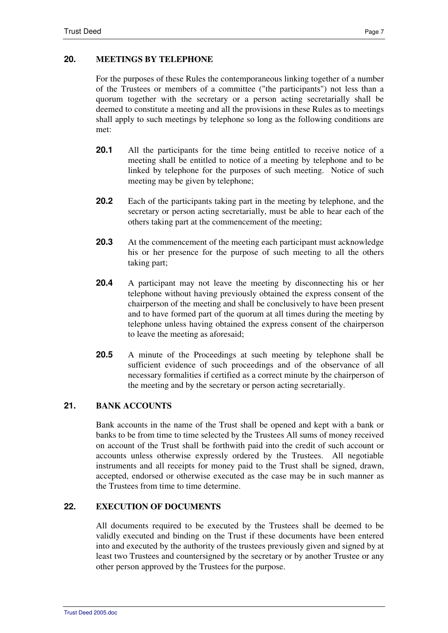# **20. MEETINGS BY TELEPHONE**

For the purposes of these Rules the contemporaneous linking together of a number of the Trustees or members of a committee ("the participants") not less than a quorum together with the secretary or a person acting secretarially shall be deemed to constitute a meeting and all the provisions in these Rules as to meetings shall apply to such meetings by telephone so long as the following conditions are met:

- **20.1** All the participants for the time being entitled to receive notice of a meeting shall be entitled to notice of a meeting by telephone and to be linked by telephone for the purposes of such meeting. Notice of such meeting may be given by telephone;
- **20.2** Each of the participants taking part in the meeting by telephone, and the secretary or person acting secretarially, must be able to hear each of the others taking part at the commencement of the meeting;
- **20.3** At the commencement of the meeting each participant must acknowledge his or her presence for the purpose of such meeting to all the others taking part;
- **20.4** A participant may not leave the meeting by disconnecting his or her telephone without having previously obtained the express consent of the chairperson of the meeting and shall be conclusively to have been present and to have formed part of the quorum at all times during the meeting by telephone unless having obtained the express consent of the chairperson to leave the meeting as aforesaid;
- **20.5** A minute of the Proceedings at such meeting by telephone shall be sufficient evidence of such proceedings and of the observance of all necessary formalities if certified as a correct minute by the chairperson of the meeting and by the secretary or person acting secretarially.

# **21. BANK ACCOUNTS**

Bank accounts in the name of the Trust shall be opened and kept with a bank or banks to be from time to time selected by the Trustees All sums of money received on account of the Trust shall be forthwith paid into the credit of such account or accounts unless otherwise expressly ordered by the Trustees. All negotiable instruments and all receipts for money paid to the Trust shall be signed, drawn, accepted, endorsed or otherwise executed as the case may be in such manner as the Trustees from time to time determine.

# **22. EXECUTION OF DOCUMENTS**

All documents required to be executed by the Trustees shall be deemed to be validly executed and binding on the Trust if these documents have been entered into and executed by the authority of the trustees previously given and signed by at least two Trustees and countersigned by the secretary or by another Trustee or any other person approved by the Trustees for the purpose.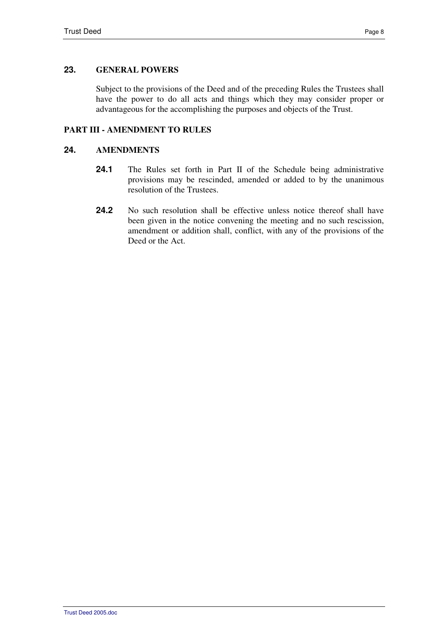# **23. GENERAL POWERS**

Subject to the provisions of the Deed and of the preceding Rules the Trustees shall have the power to do all acts and things which they may consider proper or advantageous for the accomplishing the purposes and objects of the Trust.

# **PART III - AMENDMENT TO RULES**

## **24. AMENDMENTS**

- 24.1 The Rules set forth in Part II of the Schedule being administrative provisions may be rescinded, amended or added to by the unanimous resolution of the Trustees.
- **24.2** No such resolution shall be effective unless notice thereof shall have been given in the notice convening the meeting and no such rescission, amendment or addition shall, conflict, with any of the provisions of the Deed or the Act.